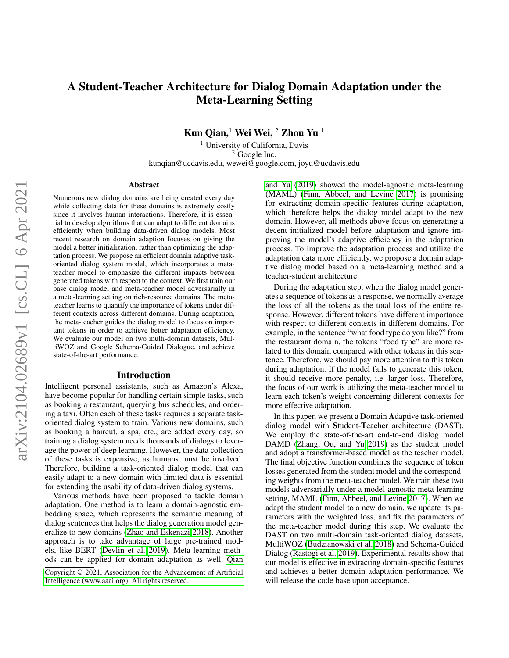# A Student-Teacher Architecture for Dialog Domain Adaptation under the Meta-Learning Setting

Kun Qian,<sup>1</sup> Wei Wei, <sup>2</sup> Zhou Yu<sup>1</sup>

<sup>1</sup> University of California, Davis  $2$  Google Inc. kunqian@ucdavis.edu, wewei@google.com, joyu@ucdavis.edu

#### Abstract

Numerous new dialog domains are being created every day while collecting data for these domains is extremely costly since it involves human interactions. Therefore, it is essential to develop algorithms that can adapt to different domains efficiently when building data-driven dialog models. Most recent research on domain adaption focuses on giving the model a better initialization, rather than optimizing the adaptation process. We propose an efficient domain adaptive taskoriented dialog system model, which incorporates a metateacher model to emphasize the different impacts between generated tokens with respect to the context. We first train our base dialog model and meta-teacher model adversarially in a meta-learning setting on rich-resource domains. The metateacher learns to quantify the importance of tokens under different contexts across different domains. During adaptation, the meta-teacher guides the dialog model to focus on important tokens in order to achieve better adaptation efficiency. We evaluate our model on two multi-domain datasets, MultiWOZ and Google Schema-Guided Dialogue, and achieve state-of-the-art performance.

#### Introduction

Intelligent personal assistants, such as Amazon's Alexa, have become popular for handling certain simple tasks, such as booking a restaurant, querying bus schedules, and ordering a taxi. Often each of these tasks requires a separate taskoriented dialog system to train. Various new domains, such as booking a haircut, a spa, etc., are added every day, so training a dialog system needs thousands of dialogs to leverage the power of deep learning. However, the data collection of these tasks is expensive, as humans must be involved. Therefore, building a task-oriented dialog model that can easily adapt to a new domain with limited data is essential for extending the usability of data-driven dialog systems.

Various methods have been proposed to tackle domain adaptation. One method is to learn a domain-agnostic embedding space, which represents the semantic meaning of dialog sentences that helps the dialog generation model generalize to new domains [\(Zhao and Eskenazi 2018\)](#page-8-0). Another approach is to take advantage of large pre-trained models, like BERT [\(Devlin et al. 2019\)](#page-7-0). Meta-learning methods can be applied for domain adaptation as well. [Qian](#page-7-1) [and Yu](#page-7-1) [\(2019\)](#page-7-1) showed the model-agnostic meta-learning (MAML) [\(Finn, Abbeel, and Levine 2017\)](#page-7-2) is promising for extracting domain-specific features during adaptation, which therefore helps the dialog model adapt to the new domain. However, all methods above focus on generating a decent initialized model before adaptation and ignore improving the model's adaptive efficiency in the adaptation process. To improve the adaptation process and utilize the adaptation data more efficiently, we propose a domain adaptive dialog model based on a meta-learning method and a teacher-student architecture.

During the adaptation step, when the dialog model generates a sequence of tokens as a response, we normally average the loss of all the tokens as the total loss of the entire response. However, different tokens have different importance with respect to different contexts in different domains. For example, in the sentence "what food type do you like?" from the restaurant domain, the tokens "food type" are more related to this domain compared with other tokens in this sentence. Therefore, we should pay more attention to this token during adaptation. If the model fails to generate this token, it should receive more penalty, i.e. larger loss. Therefore, the focus of our work is utilizing the meta-teacher model to learn each token's weight concerning different contexts for more effective adaptation.

In this paper, we present a Domain Adaptive task-oriented dialog model with Student-Teacher architecture (DAST). We employ the state-of-the-art end-to-end dialog model DAMD [\(Zhang, Ou, and Yu 2019\)](#page-8-1) as the student model and adopt a transformer-based model as the teacher model. The final objective function combines the sequence of token losses generated from the student model and the corresponding weights from the meta-teacher model. We train these two models adversarially under a model-agnostic meta-learning setting, MAML [\(Finn, Abbeel, and Levine 2017\)](#page-7-2). When we adapt the student model to a new domain, we update its parameters with the weighted loss, and fix the parameters of the meta-teacher model during this step. We evaluate the DAST on two multi-domain task-oriented dialog datasets, MultiWOZ [\(Budzianowski et al. 2018\)](#page-7-3) and Schema-Guided Dialog [\(Rastogi et al. 2019\)](#page-7-4). Experimental results show that our model is effective in extracting domain-specific features and achieves a better domain adaptation performance. We will release the code base upon acceptance.

[Copyright © 2021, Association for the Advancement of Artificial](#page-7-1) [Intelligence \(www.aaai.org\). All rights reserved.](#page-7-1)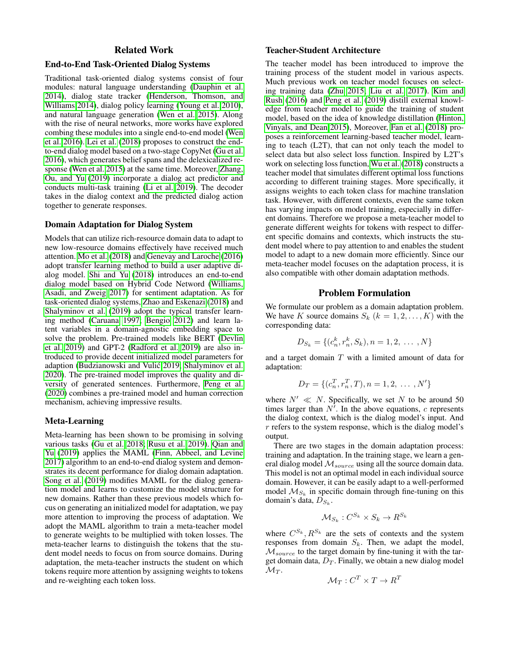# Related Work

## End-to-End Task-Oriented Dialog Systems

Traditional task-oriented dialog systems consist of four modules: natural language understanding [\(Dauphin et al.](#page-7-5) [2014\)](#page-7-5), dialog state tracker [\(Henderson, Thomson, and](#page-7-6) [Williams 2014\)](#page-7-6), dialog policy learning [\(Young et al. 2010\)](#page-8-2), and natural language generation [\(Wen et al. 2015\)](#page-8-3). Along with the rise of neural networks, more works have explored combing these modules into a single end-to-end model [\(Wen](#page-8-4) [et al. 2016\)](#page-8-4). [Lei et al.](#page-7-7) [\(2018\)](#page-7-7) proposes to construct the endto-end dialog model based on a two-stage CopyNet [\(Gu et al.](#page-7-8) [2016\)](#page-7-8), which generates belief spans and the delexicalized response [\(Wen et al. 2015\)](#page-8-3) at the same time. Moreover, [Zhang,](#page-8-1) [Ou, and Yu](#page-8-1) [\(2019\)](#page-8-1) incorporate a dialog act predictor and conducts multi-task training [\(Li et al. 2019\)](#page-7-9). The decoder takes in the dialog context and the predicted dialog action together to generate responses.

## Domain Adaptation for Dialog System

Models that can utilize rich-resource domain data to adapt to new low-resource domains effectively have received much attention. [Mo et al.](#page-7-10) [\(2018\)](#page-7-10) and [Genevay and Laroche](#page-7-11) [\(2016\)](#page-7-11) adopt transfer learning method to build a user adaptive dialog model. [Shi and Yu](#page-7-12) [\(2018\)](#page-7-12) introduces an end-to-end dialog model based on Hybrid Code Netword [\(Williams,](#page-8-5) [Asadi, and Zweig 2017\)](#page-8-5) for sentiment adaptation. As for task-oriented dialog systems, [Zhao and Eskenazi](#page-8-0) [\(2018\)](#page-8-0) and [Shalyminov et al.](#page-7-13) [\(2019\)](#page-7-13) adopt the typical transfer learning method [\(Caruana 1997;](#page-7-14) [Bengio 2012\)](#page-7-15) and learn latent variables in a domain-agnostic embedding space to solve the problem. Pre-trained models like BERT [\(Devlin](#page-7-0) [et al. 2019\)](#page-7-0) and GPT-2 [\(Radford et al. 2019\)](#page-7-16) are also introduced to provide decent initialized model parameters for adaption [\(Budzianowski and Vulic 2019;](#page-7-17) [Shalyminov et al.](#page-7-18) ´ [2020\)](#page-7-18). The pre-trained model improves the quality and diversity of generated sentences. Furthermore, [Peng et al.](#page-7-19) [\(2020\)](#page-7-19) combines a pre-trained model and human correction mechanism, achieving impressive results.

#### Meta-Learning

Meta-learning has been shown to be promising in solving various tasks [\(Gu et al. 2018;](#page-7-20) [Rusu et al. 2019\)](#page-7-21). [Qian and](#page-7-1) [Yu](#page-7-1) [\(2019\)](#page-7-1) applies the MAML [\(Finn, Abbeel, and Levine](#page-7-2) [2017\)](#page-7-2) algorithm to an end-to-end dialog system and demonstrates its decent performance for dialog domain adaptation. [Song et al.](#page-8-6) [\(2019\)](#page-8-6) modifies MAML for the dialog generation model and learns to customize the model structure for new domains. Rather than these previous models which focus on generating an initialized model for adaptation, we pay more attention to improving the process of adaptation. We adopt the MAML algorithm to train a meta-teacher model to generate weights to be multiplied with token losses. The meta-teacher learns to distinguish the tokens that the student model needs to focus on from source domains. During adaptation, the meta-teacher instructs the student on which tokens require more attention by assigning weights to tokens and re-weighting each token loss.

#### Teacher-Student Architecture

The teacher model has been introduced to improve the training process of the student model in various aspects. Much previous work on teacher model focuses on selecting training data [\(Zhu 2015;](#page-8-7) [Liu et al. 2017\)](#page-7-22). [Kim and](#page-7-23) [Rush](#page-7-23) [\(2016\)](#page-7-23) and [Peng et al.](#page-7-24) [\(2019\)](#page-7-24) distill external knowledge from teacher model to guide the training of student model, based on the idea of knowledge distillation [\(Hinton,](#page-7-25) [Vinyals, and Dean 2015\)](#page-7-25), Moreover, [Fan et al.](#page-7-26) [\(2018\)](#page-7-26) proposes a reinforcement learning-based teacher model, learning to teach (L2T), that can not only teach the model to select data but also select loss function. Inspired by L2T's work on selecting loss function, [Wu et al.](#page-8-8) [\(2018\)](#page-8-8) constructs a teacher model that simulates different optimal loss functions according to different training stages. More specifically, it assigns weights to each token class for machine translation task. However, with different contexts, even the same token has varying impacts on model training, especially in different domains. Therefore we propose a meta-teacher model to generate different weights for tokens with respect to different specific domains and contexts, which instructs the student model where to pay attention to and enables the student model to adapt to a new domain more efficiently. Since our meta-teacher model focuses on the adaptation process, it is also compatible with other domain adaptation methods.

#### Problem Formulation

We formulate our problem as a domain adaptation problem. We have K source domains  $S_k$   $(k = 1, 2, \ldots, K)$  with the corresponding data:

$$
D_{S_k} = \{(c_n^k, r_n^k, S_k), n = 1, 2, \dots, N\}
$$

and a target domain  $T$  with a limited amount of data for adaptation:

$$
D_T = \{ (c_n^T, r_n^T, T), n = 1, 2, \dots, N' \}
$$

where  $N' \ll N$ . Specifically, we set N to be around 50 times larger than  $N^7$ . In the above equations, c represents the dialog context, which is the dialog model's input. And  $r$  refers to the system response, which is the dialog model's output.

There are two stages in the domain adaptation process: training and adaptation. In the training stage, we learn a general dialog model  $\mathcal{M}_{source}$  using all the source domain data. This model is not an optimal model in each individual source domain. However, it can be easily adapt to a well-performed model  $\mathcal{M}_{S_k}$  in specific domain through fine-tuning on this domain's data,  $D_{S_k}$ .

$$
\mathcal{M}_{S_k}: C^{S_k} \times S_k \to R^{S_k}
$$

where  $C^{S_k}, R^{S_k}$  are the sets of contexts and the system responses from domain  $S_k$ . Then, we adapt the model,  $M_{source}$  to the target domain by fine-tuning it with the target domain data,  $D_T$ . Finally, we obtain a new dialog model  $\mathcal{M}_T$ .

$$
\mathcal{M}_T : C^T \times T \to R^T
$$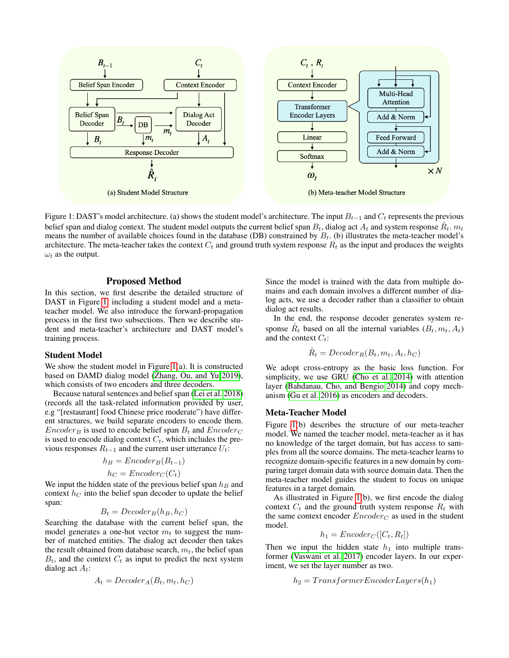<span id="page-2-0"></span>

Figure 1: DAST's model architecture. (a) shows the student model's architecture. The input  $B_{t-1}$  and  $C_t$  represents the previous belief span and dialog context. The student model outputs the current belief span  $B_t$ , dialog act  $A_t$  and system response  $\hat{R}_t$ .  $m_t$ means the number of available choices found in the database (DB) constrained by  $B_t$ . (b) illustrates the meta-teacher model's architecture. The meta-teacher takes the context  $C_t$  and ground truth system response  $R_t$  as the input and produces the weights  $\omega_t$  as the output.

## Proposed Method

In this section, we first describe the detailed structure of DAST in Figure [1,](#page-2-0) including a student model and a metateacher model. We also introduce the forward-propagation process in the first two subsections. Then we describe student and meta-teacher's architecture and DAST model's training process.

#### Student Model

We show the student model in Figure [1\(](#page-2-0)a). It is constructed based on DAMD dialog model [\(Zhang, Ou, and Yu 2019\)](#page-8-1), which consists of two encoders and three decoders.

Because natural sentences and belief span [\(Lei et al. 2018\)](#page-7-7) (records all the task-related information provided by user, e.g "[restaurant] food Chinese price moderate") have different structures, we build separate encoders to encode them.  $Encoder_B$  is used to encode belief span  $B_t$  and  $Encoder_C$ is used to encode dialog context  $C_t$ , which includes the previous responses  $R_{t-1}$  and the current user utterance  $U_t$ :

$$
h_B = Encoder_B(B_{t-1})
$$

$$
h_C = \mathit{Encoder}_C(C_t)
$$

We input the hidden state of the previous belief span  $h_B$  and context  $h<sub>C</sub>$  into the belief span decoder to update the belief span:

$$
B_t = Decoder_B(h_B, h_C)
$$

Searching the database with the current belief span, the model generates a one-hot vector  $m_t$  to suggest the number of matched entities. The dialog act decoder then takes the result obtained from database search,  $m_t$ , the belief span  $B_t$ , and the context  $C_t$  as input to predict the next system dialog act  $A_t$ :

$$
A_t = Decode{r_A(B_t, m_t, h_C)}
$$

Since the model is trained with the data from multiple domains and each domain involves a different number of dialog acts, we use a decoder rather than a classifier to obtain dialog act results.

In the end, the response decoder generates system response  $\hat{R}_t$  based on all the internal variables  $(B_t, m_t, A_t)$ and the context  $C_t$ :

$$
\hat{R}_t = December_R(B_t, m_t, A_t, h_C)
$$

We adopt cross-entropy as the basic loss function. For simplicity, we use GRU [\(Cho et al. 2014\)](#page-7-27) with attention layer [\(Bahdanau, Cho, and Bengio 2014\)](#page-7-28) and copy mechanism [\(Gu et al. 2016\)](#page-7-8) as encoders and decoders.

#### Meta-Teacher Model

Figure [1\(](#page-2-0)b) describes the structure of our meta-teacher model. We named the teacher model, meta-teacher as it has no knowledge of the target domain, but has access to samples from all the source domains. The meta-teacher learns to recognize domain-specific features in a new domain by comparing target domain data with source domain data. Then the meta-teacher model guides the student to focus on unique features in a target domain.

As illustrated in Figure [1\(](#page-2-0)b), we first encode the dialog context  $C_t$  and the ground truth system response  $R_t$  with the same context encoder  $Encoder_C$  as used in the student model.

$$
h_1 = \text{Encoder}_C([C_t, R_t])
$$

Then we input the hidden state  $h_1$  into multiple transformer [\(Vaswani et al. 2017\)](#page-8-9) encoder layers. In our experiment, we set the layer number as two.

$$
h_2 = TransferEncoderLayer(s(h_1)
$$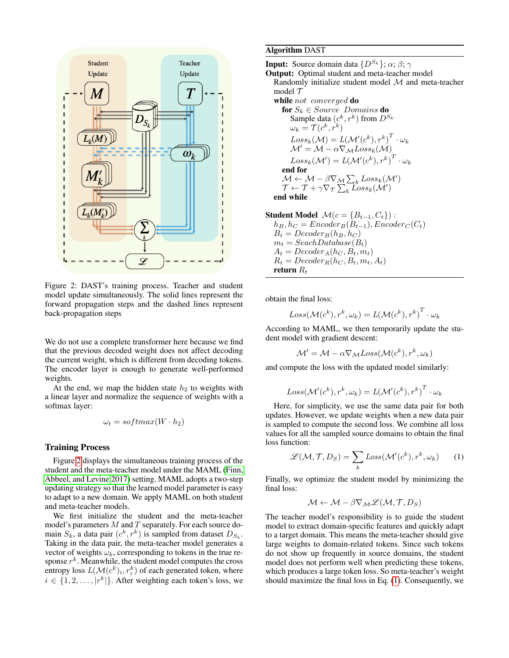<span id="page-3-0"></span>

Figure 2: DAST's training process. Teacher and student model update simultaneously. The solid lines represent the forward propagation steps and the dashed lines represent back-propagation steps

We do not use a complete transformer here because we find that the previous decoded weight does not affect decoding the current weight, which is different from decoding tokens. The encoder layer is enough to generate well-performed weights.

At the end, we map the hidden state  $h_2$  to weights with a linear layer and normalize the sequence of weights with a softmax layer:

$$
\omega_t = softmax(W \cdot h_2)
$$

## Training Process

Figure [2](#page-3-0) displays the simultaneous training process of the student and the meta-teacher model under the MAML [\(Finn,](#page-7-2) [Abbeel, and Levine 2017\)](#page-7-2) setting. MAML adopts a two-step updating strategy so that the learned model parameter is easy to adapt to a new domain. We apply MAML on both student and meta-teacher models.

We first initialize the student and the meta-teacher model's parameters  $M$  and  $T$  separately. For each source domain  $S_k$ , a data pair  $(c^k, r^k)$  is sampled from dataset  $D_{S_k}$ . Taking in the data pair, the meta-teacher model generates a vector of weights  $\omega_k$ , corresponding to tokens in the true response  $r^k$ . Meanwhile, the student model computes the cross entropy loss  $L(M(c^k)_i, r_i^k)$  of each generated token, where  $i \in \{1, 2, \ldots, |r^k|\}$ . After weighting each token's loss, we

## Algorithm DAST

**Input:** Source domain data  $\{D^{S_k}\}\; \alpha; \beta; \gamma$ 

Output: Optimal student and meta-teacher model Randomly initialize student model M and meta-teacher model  $\mathcal T$ 

while not converged do

for  $S_k \in Source$  Domains do Sample data  $(c^k, r^k)$  from  $D^{S_k}$  $\omega_k = \mathcal{T}(c^k, r^k)$  $Loss_k(\mathcal{M}) = L(\mathcal{M}'(c^k), r^k)^T \cdot \omega_k$  $\mathcal{M}' = \mathcal{M} - \alpha \nabla_{\mathcal{M}} Loss_k(\mathcal{M})$  $Loss_k(\mathcal{M}') = L(\mathcal{M}'(c^k), r^k) ^T \cdot \omega_k$ end for  $\mathcal{M} \leftarrow \mathcal{M} - \beta \nabla_{\mathcal{M}} \sum_{k} Loss_{k}(\mathcal{M}')$  $\mathcal{T} \leftarrow \mathcal{T} + \gamma \nabla_{\mathcal{T}} \sum_k \widehat{Loss}_k(\mathcal{M}')$ 

end while

Student Model  $\mathcal{M}(c = \{B_{t-1}, C_t\})$ :  $h_B, h_C = \text{Encoder}_B(\tilde{B}_{t-1}), \text{Encoder}_C(C_t)$  $B_t = Decode_{B}(h_B, h_C)$  $m_t = SeachDatabase(B_t)$  $A_t = Decode{r_A(h_C, B_t, m_t)}$  $R_t = December_R(h_C, B_t, m_t, A_t)$ return  $R_t$ 

obtain the final loss:

$$
Loss(\mathcal{M}(c^k), r^k, \omega_k) = L(\mathcal{M}(c^k), r^k)^T \cdot \omega_k
$$

According to MAML, we then temporarily update the student model with gradient descent:

 $\mathcal{M}' = \mathcal{M} - \alpha \nabla_{\mathcal{M}} Loss(\mathcal{M}(c^k), r^k, \omega_k)$ 

and compute the loss with the updated model similarly:

$$
Loss(\mathcal{M}'(c^k), r^k, \omega_k) = L(\mathcal{M}'(c^k), r^k)^T \cdot \omega_k
$$

Here, for simplicity, we use the same data pair for both updates. However, we update weights when a new data pair is sampled to compute the second loss. We combine all loss values for all the sampled source domains to obtain the final loss function:

<span id="page-3-1"></span>
$$
\mathcal{L}(\mathcal{M}, \mathcal{T}, D_S) = \sum_{k} Loss(\mathcal{M}'(c^k), r^k, \omega_k)
$$
 (1)

Finally, we optimize the student model by minimizing the final loss:

$$
\mathcal{M} \leftarrow \mathcal{M} - \beta \nabla_{\mathcal{M}} \mathcal{L}(\mathcal{M}, \mathcal{T}, D_S)
$$

The teacher model's responsibility is to guide the student model to extract domain-specific features and quickly adapt to a target domain. This means the meta-teacher should give large weights to domain-related tokens. Since such tokens do not show up frequently in source domains, the student model does not perform well when predicting these tokens, which produces a large token loss. So meta-teacher's weight should maximize the final loss in Eq. [\(1\)](#page-3-1). Consequently, we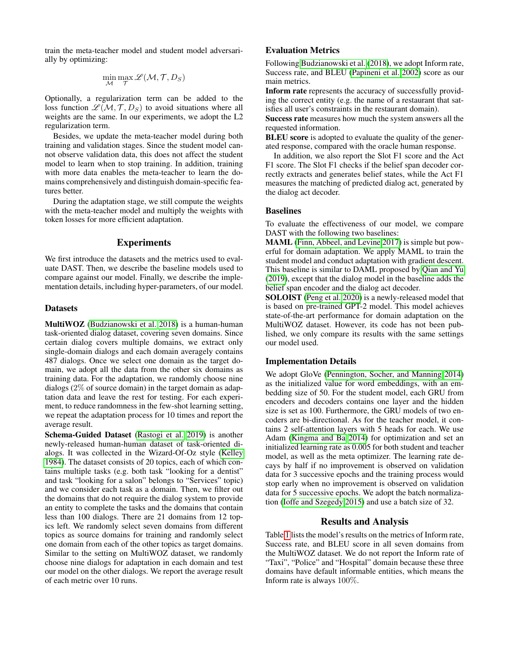train the meta-teacher model and student model adversarially by optimizing:

$$
\min_{\mathcal{M}} \max_{\mathcal{T}} \mathscr{L}(\mathcal{M}, \mathcal{T}, D_S)
$$

Optionally, a regularization term can be added to the loss function  $L(M, \mathcal{T}, D_S)$  to avoid situations where all weights are the same. In our experiments, we adopt the L2 regularization term.

Besides, we update the meta-teacher model during both training and validation stages. Since the student model cannot observe validation data, this does not affect the student model to learn when to stop training. In addition, training with more data enables the meta-teacher to learn the domains comprehensively and distinguish domain-specific features better.

During the adaptation stage, we still compute the weights with the meta-teacher model and multiply the weights with token losses for more efficient adaptation.

#### Experiments

We first introduce the datasets and the metrics used to evaluate DAST. Then, we describe the baseline models used to compare against our model. Finally, we describe the implementation details, including hyper-parameters, of our model.

## **Datasets**

MultiWOZ [\(Budzianowski et al. 2018\)](#page-7-3) is a human-human task-oriented dialog dataset, covering seven domains. Since certain dialog covers multiple domains, we extract only single-domain dialogs and each domain averagely contains 487 dialogs. Once we select one domain as the target domain, we adopt all the data from the other six domains as training data. For the adaptation, we randomly choose nine dialogs (2% of source domain) in the target domain as adaptation data and leave the rest for testing. For each experiment, to reduce randomness in the few-shot learning setting, we repeat the adaptation process for 10 times and report the average result.

Schema-Guided Dataset [\(Rastogi et al. 2019\)](#page-7-4) is another newly-released human-human dataset of task-oriented dialogs. It was collected in the Wizard-Of-Oz style [\(Kelley](#page-7-29) [1984\)](#page-7-29). The dataset consists of 20 topics, each of which contains multiple tasks (e.g. both task "looking for a dentist" and task "looking for a salon" belongs to "Services" topic) and we consider each task as a domain. Then, we filter out the domains that do not require the dialog system to provide an entity to complete the tasks and the domains that contain less than 100 dialogs. There are 21 domains from 12 topics left. We randomly select seven domains from different topics as source domains for training and randomly select one domain from each of the other topics as target domains. Similar to the setting on MultiWOZ dataset, we randomly choose nine dialogs for adaptation in each domain and test our model on the other dialogs. We report the average result of each metric over 10 runs.

## Evaluation Metrics

Following [Budzianowski et al.](#page-7-3) [\(2018\)](#page-7-3), we adopt Inform rate, Success rate, and BLEU [\(Papineni et al. 2002\)](#page-7-30) score as our main metrics.

Inform rate represents the accuracy of successfully providing the correct entity (e.g. the name of a restaurant that satisfies all user's constraints in the restaurant domain).

Success rate measures how much the system answers all the requested information.

BLEU score is adopted to evaluate the quality of the generated response, compared with the oracle human response.

In addition, we also report the Slot F1 score and the Act F1 score. The Slot F1 checks if the belief span decoder correctly extracts and generates belief states, while the Act F1 measures the matching of predicted dialog act, generated by the dialog act decoder.

## Baselines

To evaluate the effectiveness of our model, we compare DAST with the following two baselines:

MAML [\(Finn, Abbeel, and Levine 2017\)](#page-7-2) is simple but powerful for domain adaptation. We apply MAML to train the student model and conduct adaptation with gradient descent. This baseline is similar to DAML proposed by [Qian and Yu](#page-7-1) [\(2019\)](#page-7-1), except that the dialog model in the baseline adds the belief span encoder and the dialog act decoder.

SOLOIST [\(Peng et al. 2020\)](#page-7-19) is a newly-released model that is based on pre-trained GPT-2 model. This model achieves state-of-the-art performance for domain adaptation on the MultiWOZ dataset. However, its code has not been published, we only compare its results with the same settings our model used.

#### Implementation Details

We adopt GloVe [\(Pennington, Socher, and Manning 2014\)](#page-7-31) as the initialized value for word embeddings, with an embedding size of 50. For the student model, each GRU from encoders and decoders contains one layer and the hidden size is set as 100. Furthermore, the GRU models of two encoders are bi-directional. As for the teacher model, it contains 2 self-attention layers with 5 heads for each. We use Adam [\(Kingma and Ba 2014\)](#page-7-32) for optimization and set an initialized learning rate as 0.005 for both student and teacher model, as well as the meta optimizer. The learning rate decays by half if no improvement is observed on validation data for 3 successive epochs and the training process would stop early when no improvement is observed on validation data for 5 successive epochs. We adopt the batch normalization [\(Ioffe and Szegedy 2015\)](#page-7-33) and use a batch size of 32.

## Results and Analysis

Table [1](#page-5-0) lists the model's results on the metrics of Inform rate, Success rate, and BLEU score in all seven domains from the MultiWOZ dataset. We do not report the Inform rate of "Taxi", "Police" and "Hospital" domain because these three domains have default informable entities, which means the Inform rate is always 100%.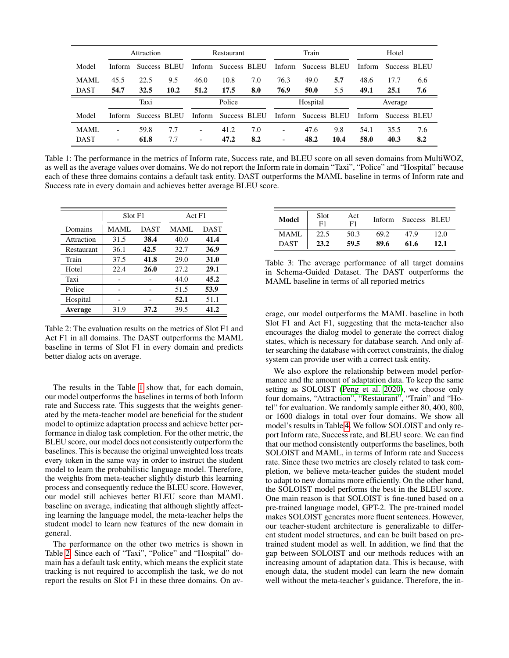<span id="page-5-0"></span>

|             | Attraction |              |      | Restaurant               |                     |     | Train                    |              |      | Hotel   |              |     |
|-------------|------------|--------------|------|--------------------------|---------------------|-----|--------------------------|--------------|------|---------|--------------|-----|
| Model       | Inform     | Success BLEU |      |                          | Inform Success BLEU |     | Inform                   | Success BLEU |      | Inform  | Success BLEU |     |
| MAML        | 45.5       | 22.5         | 9.5  | 46.0                     | 10.8                | 7.0 | 76.3                     | 49.0         | 5.7  | 48.6    | 17.7         | 6.6 |
| <b>DAST</b> | 54.7       | 32.5         | 10.2 | 51.2                     | 17.5                | 8.0 | 76.9                     | 50.0         | 5.5  | 49.1    | 25.1         | 7.6 |
|             | Taxi       |              |      | Police                   |                     |     | Hospital                 |              |      | Average |              |     |
| Model       | Inform     | Success BLEU |      | Inform                   | Success BLEU        |     | Inform                   | Success BLEU |      | Inform  | Success BLEU |     |
| MAML        |            | 59.8         | 7.7  | $\overline{\phantom{a}}$ | 41.2                | 7.0 | $\overline{\phantom{0}}$ | 47.6         | 9.8  | 54.1    | 35.5         | 7.6 |
| <b>DAST</b> |            | 61.8         | 7.7  | $\overline{\phantom{a}}$ | 47.2                | 8.2 | $\overline{\phantom{0}}$ | 48.2         | 10.4 | 58.0    | 40.3         | 8.2 |

Table 1: The performance in the metrics of Inform rate, Success rate, and BLEU score on all seven domains from MultiWOZ, as well as the average values over domains. We do not report the Inform rate in domain "Taxi", "Police" and "Hospital" because each of these three domains contains a default task entity. DAST outperforms the MAML baseline in terms of Inform rate and Success rate in every domain and achieves better average BLEU score.

<span id="page-5-1"></span>

|                   | Slot F1     |             | Act F1 |             |  |  |
|-------------------|-------------|-------------|--------|-------------|--|--|
| Domains           | <b>MAML</b> | <b>DAST</b> |        | <b>DAST</b> |  |  |
| Attraction        | 31.5        | 38.4        | 40.0   | 41.4        |  |  |
| <b>Restaurant</b> | 36.1        | 42.5        | 32.7   | 36.9        |  |  |
| Train             | 37.5        | 41.8        | 29.0   | 31.0        |  |  |
| Hotel             | 22.4        | 26.0        | 27.2   | 29.1        |  |  |
| Taxi              |             |             | 44.0   | 45.2        |  |  |
| Police            |             |             | 51.5   | 53.9        |  |  |
| Hospital          |             |             | 52.1   | 51.1        |  |  |
| Average           | 31.9        | 37.2        | 39.5   | 41.2        |  |  |

Table 2: The evaluation results on the metrics of Slot F1 and Act F1 in all domains. The DAST outperforms the MAML baseline in terms of Slot F1 in every domain and predicts better dialog acts on average.

The results in the Table [1](#page-5-0) show that, for each domain, our model outperforms the baselines in terms of both Inform rate and Success rate. This suggests that the weights generated by the meta-teacher model are beneficial for the student model to optimize adaptation process and achieve better performance in dialog task completion. For the other metric, the BLEU score, our model does not consistently outperform the baselines. This is because the original unweighted loss treats every token in the same way in order to instruct the student model to learn the probabilistic language model. Therefore, the weights from meta-teacher slightly disturb this learning process and consequently reduce the BLEU score. However, our model still achieves better BLEU score than MAML baseline on average, indicating that although slightly affecting learning the language model, the meta-teacher helps the student model to learn new features of the new domain in general.

The performance on the other two metrics is shown in Table [2.](#page-5-1) Since each of "Taxi", "Police" and "Hospital" domain has a default task entity, which means the explicit state tracking is not required to accomplish the task, we do not report the results on Slot F1 in these three domains. On av-

<span id="page-5-2"></span>

| <b>Model</b> | Slot<br>F1 | Act<br>F1 | Inform | Success BLEU |      |
|--------------|------------|-----------|--------|--------------|------|
| <b>MAML</b>  | 22.5       | 50.3      | 69.2   | 47.9         | 12.0 |
| <b>DAST</b>  | 23.2       | 59.5      | 89.6   | 61.6         | 12.1 |

Table 3: The average performance of all target domains in Schema-Guided Dataset. The DAST outperforms the MAML baseline in terms of all reported metrics

erage, our model outperforms the MAML baseline in both Slot F1 and Act F1, suggesting that the meta-teacher also encourages the dialog model to generate the correct dialog states, which is necessary for database search. And only after searching the database with correct constraints, the dialog system can provide user with a correct task entity.

We also explore the relationship between model performance and the amount of adaptation data. To keep the same setting as SOLOIST [\(Peng et al. 2020\)](#page-7-19), we choose only four domains, "Attraction", "Restaurant", "Train" and "Hotel" for evaluation. We randomly sample either 80, 400, 800, or 1600 dialogs in total over four domains. We show all model's results in Table [4.](#page-6-0) We follow SOLOIST and only report Inform rate, Success rate, and BLEU score. We can find that our method consistently outperforms the baselines, both SOLOIST and MAML, in terms of Inform rate and Success rate. Since these two metrics are closely related to task completion, we believe meta-teacher guides the student model to adapt to new domains more efficiently. On the other hand, the SOLOIST model performs the best in the BLEU score. One main reason is that SOLOIST is fine-tuned based on a pre-trained language model, GPT-2. The pre-trained model makes SOLOIST generates more fluent sentences. However, our teacher-student architecture is generalizable to different student model structures, and can be built based on pretrained student model as well. In addition, we find that the gap between SOLOIST and our methods reduces with an increasing amount of adaptation data. This is because, with enough data, the student model can learn the new domain well without the meta-teacher's guidance. Therefore, the in-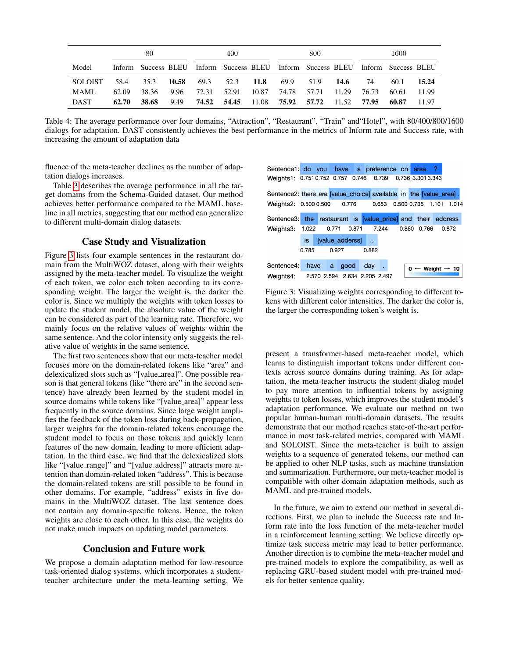<span id="page-6-0"></span>

|                | 80    |                                                                                 |       | 400   |       |       | 800               |             |      | 1600  |       |       |
|----------------|-------|---------------------------------------------------------------------------------|-------|-------|-------|-------|-------------------|-------------|------|-------|-------|-------|
| Model          |       | Inform Success BLEU Inform Success BLEU Inform Success BLEU Inform Success BLEU |       |       |       |       |                   |             |      |       |       |       |
| <b>SOLOIST</b> | 58.4  | 35.3                                                                            | 10.58 | 69.3  | 52.3  | -11.8 | 69.9              | 51.9        | 14.6 | 74    | 60.1  | 15.24 |
| MAML.          | 62.09 | 38.36                                                                           | 9.96  | 72.31 | 52.91 | 10.87 | 74.78             | 57.71 11.29 |      | 76.73 | 60.61 | 11.99 |
| <b>DAST</b>    | 62.70 | 38.68                                                                           | 9.49  | 74.52 | 54.45 | 11.08 | 75.92 57.72 11.52 |             |      | 77.95 | 60.87 | 11.97 |

Table 4: The average performance over four domains, "Attraction", "Restaurant", "Train" and"Hotel", with 80/400/800/1600 dialogs for adaptation. DAST consistently achieves the best performance in the metrics of Inform rate and Success rate, with increasing the amount of adaptation data

fluence of the meta-teacher declines as the number of adaptation dialogs increases.

Table [3](#page-5-2) describes the average performance in all the target domains from the Schema-Guided dataset. Our method achieves better performance compared to the MAML baseline in all metrics, suggesting that our method can generalize to different multi-domain dialog datasets.

# Case Study and Visualization

Figure [3](#page-6-1) lists four example sentences in the restaurant domain from the MultiWOZ dataset, along with their weights assigned by the meta-teacher model. To visualize the weight of each token, we color each token according to its corresponding weight. The larger the weight is, the darker the color is. Since we multiply the weights with token losses to update the student model, the absolute value of the weight can be considered as part of the learning rate. Therefore, we mainly focus on the relative values of weights within the same sentence. And the color intensity only suggests the relative value of weights in the same sentence.

The first two sentences show that our meta-teacher model focuses more on the domain-related tokens like "area" and delexicalized slots such as "[value area]". One possible reason is that general tokens (like "there are" in the second sentence) have already been learned by the student model in source domains while tokens like "[value area]" appear less frequently in the source domains. Since large weight amplifies the feedback of the token loss during back-propagation, larger weights for the domain-related tokens encourage the student model to focus on those tokens and quickly learn features of the new domain, leading to more efficient adaptation. In the third case, we find that the delexicalized slots like "[value range]" and "[value address]" attracts more attention than domain-related token "address". This is because the domain-related tokens are still possible to be found in other domains. For example, "address" exists in five domains in the MultiWOZ dataset. The last sentence does not contain any domain-specific tokens. Hence, the token weights are close to each other. In this case, the weights do not make much impacts on updating model parameters.

## Conclusion and Future work

We propose a domain adaptation method for low-resource task-oriented dialog systems, which incorporates a studentteacher architecture under the meta-learning setting. We

<span id="page-6-1"></span>

Figure 3: Visualizing weights corresponding to different tokens with different color intensities. The darker the color is, the larger the corresponding token's weight is.

present a transformer-based meta-teacher model, which learns to distinguish important tokens under different contexts across source domains during training. As for adaptation, the meta-teacher instructs the student dialog model to pay more attention to influential tokens by assigning weights to token losses, which improves the student model's adaptation performance. We evaluate our method on two popular human-human multi-domain datasets. The results demonstrate that our method reaches state-of-the-art performance in most task-related metrics, compared with MAML and SOLOIST. Since the meta-teacher is built to assign weights to a sequence of generated tokens, our method can be applied to other NLP tasks, such as machine translation and summarization. Furthermore, our meta-teacher model is compatible with other domain adaptation methods, such as MAML and pre-trained models.

In the future, we aim to extend our method in several directions. First, we plan to include the Success rate and Inform rate into the loss function of the meta-teacher model in a reinforcement learning setting. We believe directly optimize task success metric may lead to better performance. Another direction is to combine the meta-teacher model and pre-trained models to explore the compatibility, as well as replacing GRU-based student model with pre-trained models for better sentence quality.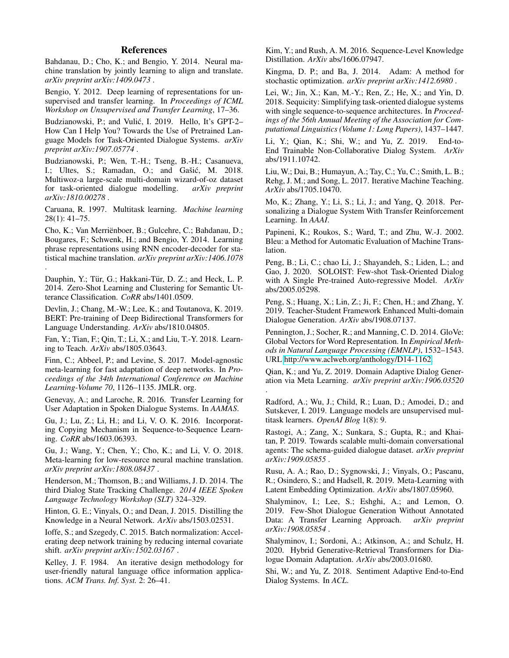# References

<span id="page-7-28"></span>Bahdanau, D.; Cho, K.; and Bengio, Y. 2014. Neural machine translation by jointly learning to align and translate. *arXiv preprint arXiv:1409.0473* .

<span id="page-7-15"></span>Bengio, Y. 2012. Deep learning of representations for unsupervised and transfer learning. In *Proceedings of ICML Workshop on Unsupervised and Transfer Learning*, 17–36.

<span id="page-7-17"></span>Budzianowski, P.; and Vulić, I. 2019. Hello, It's GPT-2-How Can I Help You? Towards the Use of Pretrained Language Models for Task-Oriented Dialogue Systems. *arXiv preprint arXiv:1907.05774* .

<span id="page-7-3"></span>Budzianowski, P.; Wen, T.-H.; Tseng, B.-H.; Casanueva, I.; Ultes, S.; Ramadan, O.; and Gašić, M. 2018. Multiwoz-a large-scale multi-domain wizard-of-oz dataset for task-oriented dialogue modelling. *arXiv preprint arXiv:1810.00278* .

<span id="page-7-14"></span>Caruana, R. 1997. Multitask learning. *Machine learning* 28(1): 41–75.

<span id="page-7-27"></span>Cho, K.; Van Merrienboer, B.; Gulcehre, C.; Bahdanau, D.; ¨ Bougares, F.; Schwenk, H.; and Bengio, Y. 2014. Learning phrase representations using RNN encoder-decoder for statistical machine translation. *arXiv preprint arXiv:1406.1078* .

<span id="page-7-5"></span>Dauphin, Y.; Tür, G.; Hakkani-Tür, D. Z.; and Heck, L. P. 2014. Zero-Shot Learning and Clustering for Semantic Utterance Classification. *CoRR* abs/1401.0509.

<span id="page-7-0"></span>Devlin, J.; Chang, M.-W.; Lee, K.; and Toutanova, K. 2019. BERT: Pre-training of Deep Bidirectional Transformers for Language Understanding. *ArXiv* abs/1810.04805.

<span id="page-7-26"></span>Fan, Y.; Tian, F.; Qin, T.; Li, X.; and Liu, T.-Y. 2018. Learning to Teach. *ArXiv* abs/1805.03643.

<span id="page-7-2"></span>Finn, C.; Abbeel, P.; and Levine, S. 2017. Model-agnostic meta-learning for fast adaptation of deep networks. In *Proceedings of the 34th International Conference on Machine Learning-Volume 70*, 1126–1135. JMLR. org.

<span id="page-7-11"></span>Genevay, A.; and Laroche, R. 2016. Transfer Learning for User Adaptation in Spoken Dialogue Systems. In *AAMAS*.

<span id="page-7-8"></span>Gu, J.; Lu, Z.; Li, H.; and Li, V. O. K. 2016. Incorporating Copying Mechanism in Sequence-to-Sequence Learning. *CoRR* abs/1603.06393.

<span id="page-7-20"></span>Gu, J.; Wang, Y.; Chen, Y.; Cho, K.; and Li, V. O. 2018. Meta-learning for low-resource neural machine translation. *arXiv preprint arXiv:1808.08437* .

<span id="page-7-6"></span>Henderson, M.; Thomson, B.; and Williams, J. D. 2014. The third Dialog State Tracking Challenge. *2014 IEEE Spoken Language Technology Workshop (SLT)* 324–329.

<span id="page-7-25"></span>Hinton, G. E.; Vinyals, O.; and Dean, J. 2015. Distilling the Knowledge in a Neural Network. *ArXiv* abs/1503.02531.

<span id="page-7-33"></span>Ioffe, S.; and Szegedy, C. 2015. Batch normalization: Accelerating deep network training by reducing internal covariate shift. *arXiv preprint arXiv:1502.03167* .

<span id="page-7-29"></span>Kelley, J. F. 1984. An iterative design methodology for user-friendly natural language office information applications. *ACM Trans. Inf. Syst.* 2: 26–41.

<span id="page-7-23"></span>Kim, Y.; and Rush, A. M. 2016. Sequence-Level Knowledge Distillation. *ArXiv* abs/1606.07947.

<span id="page-7-32"></span>Kingma, D. P.; and Ba, J. 2014. Adam: A method for stochastic optimization. *arXiv preprint arXiv:1412.6980* .

<span id="page-7-7"></span>Lei, W.; Jin, X.; Kan, M.-Y.; Ren, Z.; He, X.; and Yin, D. 2018. Sequicity: Simplifying task-oriented dialogue systems with single sequence-to-sequence architectures. In *Proceedings of the 56th Annual Meeting of the Association for Computational Linguistics (Volume 1: Long Papers)*, 1437–1447.

<span id="page-7-9"></span>Li, Y.; Qian, K.; Shi, W.; and Yu, Z. 2019. End-to-End Trainable Non-Collaborative Dialog System. *ArXiv* abs/1911.10742.

<span id="page-7-22"></span>Liu, W.; Dai, B.; Humayun, A.; Tay, C.; Yu, C.; Smith, L. B.; Rehg, J. M.; and Song, L. 2017. Iterative Machine Teaching. *ArXiv* abs/1705.10470.

<span id="page-7-10"></span>Mo, K.; Zhang, Y.; Li, S.; Li, J.; and Yang, Q. 2018. Personalizing a Dialogue System With Transfer Reinforcement Learning. In *AAAI*.

<span id="page-7-30"></span>Papineni, K.; Roukos, S.; Ward, T.; and Zhu, W.-J. 2002. Bleu: a Method for Automatic Evaluation of Machine Translation.

<span id="page-7-19"></span>Peng, B.; Li, C.; chao Li, J.; Shayandeh, S.; Liden, L.; and Gao, J. 2020. SOLOIST: Few-shot Task-Oriented Dialog with A Single Pre-trained Auto-regressive Model. *ArXiv* abs/2005.05298.

<span id="page-7-24"></span>Peng, S.; Huang, X.; Lin, Z.; Ji, F.; Chen, H.; and Zhang, Y. 2019. Teacher-Student Framework Enhanced Multi-domain Dialogue Generation. *ArXiv* abs/1908.07137.

<span id="page-7-31"></span>Pennington, J.; Socher, R.; and Manning, C. D. 2014. GloVe: Global Vectors for Word Representation. In *Empirical Methods in Natural Language Processing (EMNLP)*, 1532–1543. URL [http://www.aclweb.org/anthology/D14-1162.](http://www.aclweb.org/anthology/D14-1162)

<span id="page-7-1"></span>Qian, K.; and Yu, Z. 2019. Domain Adaptive Dialog Generation via Meta Learning. *arXiv preprint arXiv:1906.03520*

.

<span id="page-7-16"></span>Radford, A.; Wu, J.; Child, R.; Luan, D.; Amodei, D.; and Sutskever, I. 2019. Language models are unsupervised multitask learners. *OpenAI Blog* 1(8): 9.

<span id="page-7-4"></span>Rastogi, A.; Zang, X.; Sunkara, S.; Gupta, R.; and Khaitan, P. 2019. Towards scalable multi-domain conversational agents: The schema-guided dialogue dataset. *arXiv preprint arXiv:1909.05855* .

<span id="page-7-21"></span>Rusu, A. A.; Rao, D.; Sygnowski, J.; Vinyals, O.; Pascanu, R.; Osindero, S.; and Hadsell, R. 2019. Meta-Learning with Latent Embedding Optimization. *ArXiv* abs/1807.05960.

<span id="page-7-13"></span>Shalyminov, I.; Lee, S.; Eshghi, A.; and Lemon, O. 2019. Few-Shot Dialogue Generation Without Annotated Data: A Transfer Learning Approach. *arXiv preprint arXiv:1908.05854* .

<span id="page-7-18"></span>Shalyminov, I.; Sordoni, A.; Atkinson, A.; and Schulz, H. 2020. Hybrid Generative-Retrieval Transformers for Dialogue Domain Adaptation. *ArXiv* abs/2003.01680.

<span id="page-7-12"></span>Shi, W.; and Yu, Z. 2018. Sentiment Adaptive End-to-End Dialog Systems. In *ACL*.